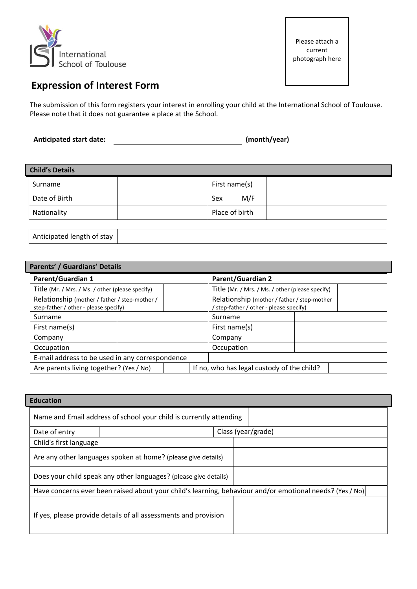

# **Expression of Interest Form**

The submission of this form registers your interest in enrolling your child at the International School of Toulouse. Please note that it does not guarantee a place at the School.

**Anticipated start date: (month/year)**

| <b>Child's Details</b> |  |                |  |  |  |
|------------------------|--|----------------|--|--|--|
| Surname                |  | First name(s)  |  |  |  |
| Date of Birth          |  | M/F<br>Sex     |  |  |  |
| Nationality            |  | Place of birth |  |  |  |

| Anticipated length of stay |  |  |
|----------------------------|--|--|
|                            |  |  |

| Parents' / Guardians' Details                                                          |  |                                                                                        |               |  |  |  |
|----------------------------------------------------------------------------------------|--|----------------------------------------------------------------------------------------|---------------|--|--|--|
| <b>Parent/Guardian 1</b>                                                               |  | <b>Parent/Guardian 2</b>                                                               |               |  |  |  |
| Title (Mr. / Mrs. / Ms. / other (please specify)                                       |  | Title (Mr. / Mrs. / Ms. / other (please specify)                                       |               |  |  |  |
| Relationship (mother / father / step-mother /<br>step-father / other - please specify) |  | Relationship (mother / father / step-mother<br>' step-father / other - please specify) |               |  |  |  |
| Surname                                                                                |  |                                                                                        | Surname       |  |  |  |
| First name(s)                                                                          |  |                                                                                        | First name(s) |  |  |  |
| Company                                                                                |  |                                                                                        | Company       |  |  |  |
| Occupation                                                                             |  |                                                                                        | Occupation    |  |  |  |
| E-mail address to be used in any correspondence                                        |  |                                                                                        |               |  |  |  |
| Are parents living together? (Yes / No)                                                |  | If no, who has legal custody of the child?                                             |               |  |  |  |

| <b>Education</b>                                                                                         |                        |  |  |                    |  |  |
|----------------------------------------------------------------------------------------------------------|------------------------|--|--|--------------------|--|--|
| Name and Email address of school your child is currently attending                                       |                        |  |  |                    |  |  |
| Date of entry                                                                                            |                        |  |  | Class (year/grade) |  |  |
|                                                                                                          | Child's first language |  |  |                    |  |  |
| Are any other languages spoken at home? (please give details)                                            |                        |  |  |                    |  |  |
| Does your child speak any other languages? (please give details)                                         |                        |  |  |                    |  |  |
| Have concerns ever been raised about your child's learning, behaviour and/or emotional needs? (Yes / No) |                        |  |  |                    |  |  |
| If yes, please provide details of all assessments and provision                                          |                        |  |  |                    |  |  |